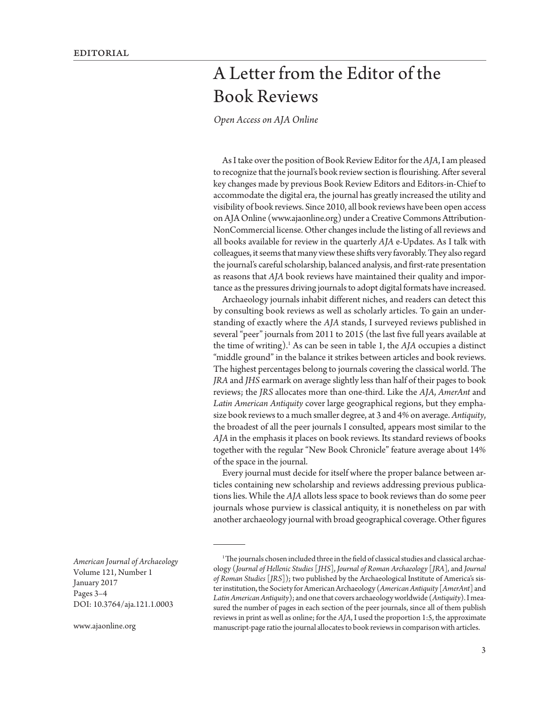## A Letter from the Editor of the Book Reviews

*[Open Access on AJA Online](http://www.ajaonline.org/node/3347)*

As I take over the position of Book Review Editor for the *AJA*, I am pleased to recognize that the journal's book review section is flourishing. After several key changes made by previous Book Review Editors and Editors-in-Chief to accommodate the digital era, the journal has greatly increased the utility and visibility of book reviews. Since 2010, all book reviews have been open access on AJA Online [\(www.ajaonline.org](http://ajaonline.org/bookreviews)) under a Creative Commons Attribution-NonCommercial license. Other changes include the listing of all reviews and all books available for review in the quarterly *AJA* e-Updates. As I talk with colleagues, it seems that many view these shifts very favorably. They also regard the journal's careful scholarship, balanced analysis, and first-rate presentation as reasons that *AJA* book reviews have maintained their quality and importance as the pressures driving journals to adopt digital formats have increased.

Archaeology journals inhabit different niches, and readers can detect this by consulting book reviews as well as scholarly articles. To gain an understanding of exactly where the *AJA* stands, I surveyed reviews published in several "peer" journals from 2011 to 2015 (the last five full years available at the time of writing).1 As can be seen in table 1, the *AJA* occupies a distinct "middle ground" in the balance it strikes between articles and book reviews. The highest percentages belong to journals covering the classical world. The *JRA* and *JHS* earmark on average slightly less than half of their pages to book reviews; the *JRS* allocates more than one-third. Like the *AJA*, *AmerAnt* and *Latin American Antiquity* cover large geographical regions, but they emphasize book reviews to a much smaller degree, at 3 and 4% on average. *Antiquity*, the broadest of all the peer journals I consulted, appears most similar to the *AJA* in the emphasis it places on book reviews. Its standard reviews of books together with the regular "New Book Chronicle" feature average about 14% of the space in the journal.

Every journal must decide for itself where the proper balance between articles containing new scholarship and reviews addressing previous publications lies. While the *AJA* allots less space to book reviews than do some peer journals whose purview is classical antiquity, it is nonetheless on par with another archaeology journal with broad geographical coverage. Other figures

*American Journal of Archaeology* Volume 121, Number 1 January 2017 Pages 3–4 DOI: 10.3764/aja.121.1.0003

<sup>&</sup>lt;sup>1</sup>The journals chosen included three in the field of classical studies and classical archaeology (*Journal of Hellenic Studies* [*JHS*], *Journal of Roman Archaeology* [*JRA*], and *Journal of Roman Studies* [*JRS*]); two published by the Archaeological Institute of America's sister institution, the Society for American Archaeology (*American Antiquity* [*AmerAnt*] and *Latin American Antiquity*); and one that covers archaeology worldwide (*Antiquity*). I measured the number of pages in each section of the peer journals, since all of them publish reviews in print as well as online; for the *AJA*, I used the proportion 1:5, the approximate manuscript-page ratio the journal allocates to book reviews in comparison with articles.